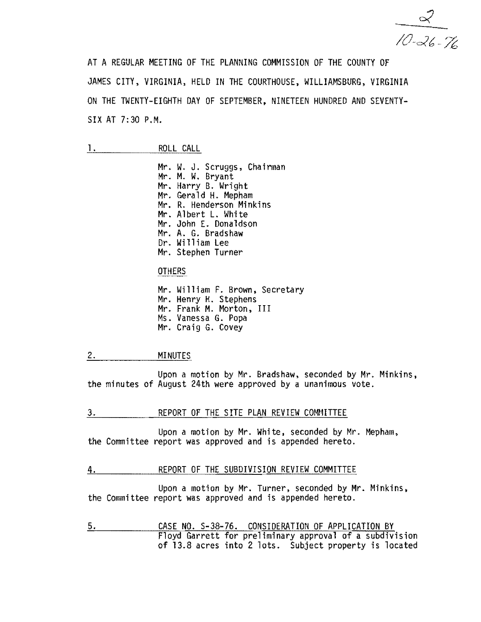$10 - 26 - 76$ 

AT A REGULAR MEETING OF THE PLANNING COMMISSION OF THE COUNTY OF JAMES CITY, VIRGINIA, HELD IN THE COURTHOUSE, WILLIAMSBURG, VIRGINIA ON THE TWENTY-EIGHTH DAY OF SEPTEMBER, NINETEEN HUNDRED AND SEVENTY-SIX AT 7:30 P.M.

Mr. W. J. Scruggs, Chairman<br>Mr. M. W. Bryant Mr. Harry B. Wright<br>Mr. Gerald H. Mepham Mr. R. Henderson Minkins Mr. Albert L. White Mr. John E. Donaldson Mr. A. G. Bradshaw Dr. William Lee Mr. Stephen Turner

\_.- OTHERS

Mr. William F. Brown, Secretary<br>Mr. Henry H. Stephens<br>Mr. Frank M. Morton, III<br>Ms. Vanessa G. Popa Mr. Craig G. Covey

# 2. <u>MINUTES</u>

Upon a motion by Mr. Bradshaw, seconded by Mr. Minkins. the minutes of August 24th were approved by a unanimous vote.

3. REPORT OF THE SITE PLAN REVIEW COMMITTEE

Upon a motion by Mr. White, seconded by Mr. Mepham, the Committee report was approved and is appended hereto.

#### 4. REPORT OF THE SUBDIVISION REVIEW COMMITTEE

Upon a motion by Mr. Turner, seconded by Mr. Minkins, the Committee report was approved and is appended hereto.

5. CASE NO. S-38-76. CONSIDERATION OF APPLICATION BY Floyd Garrett for preliminary approval of a subdivision of 13.8 acres into 2 lots. Subject property is located

<sup>1.</sup> ROLL CALL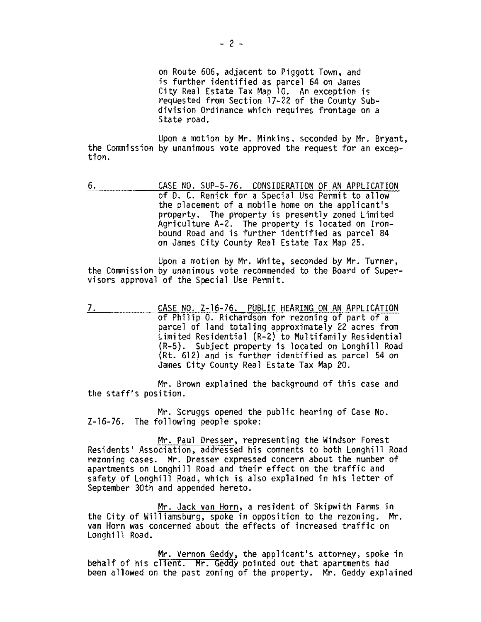on Route 606, adjacent to Piggott Town, and is further identified as parcel 64 on James City Real Estate Tax Map 10. An exception is requested from Section 17-22 of the County Subdivision Ordinance which requires frontage on a State road.

Upon a motion by Mr. Minkins, seconded by Mr. Bryant,<br>the Commission by unanimous vote approved the request for an excep-<br>tion.

6. CASE NO. SUP-5-76. CONSIDERATION OF AN APPLICATION of D. C. Renick for a Special Use Permit to allow the placement of a mobile home on the applicant's property. The property is presently zoned Limited Agriculture A-2. The property is located on Ironbound Road and is further identified as parcel 84 on James City County Real Estate Tax Map 25.

Upon a motion by Mr. White, seconded by Mr. Turner, the Commission by unanimous vote recommended to the Board of Super-<br>visors approval of the Special Use Permit.

7. CASE NO. Z-16-76. PUBLIC HEARING ON AN APPLICATION of Philip O. Richardson for rezoning of part of a parcel of land totaling approximately 22 acres from Limited Residential (R-2) to Multifamily Residential (R-5). Subject property is located on Longhill Road (Rt. 612) and is further identified as parcel 54 on James City County Real Estate Tax Map 20.

Mr. Brown explained the background of this case and the staff's position.

Mr. Scruggs opened the public hearing of Case No. Z-16-76. The following people spoke:

Mr. Paul Dresser, representing the Windsor Forest Residents' Association, addressed his comments to both Longhill Road rezoning cases. Mr. Dresser expressed concern about the number of apartments on Longhill Road and their effect on the traffic and safety of Longhill Road, which is also explained in his letter of September 30th and appended hereto.

Mr. Jack van Horn, a resident of Skipwith Farms in the City of Williamsburg, spoke in opposition to the rezoning. Mr. van Horn was concerned about the effects of increased traffic on Longhill Road.

Mr. Vernon Geddy, the applicant's attorney, spoke in behalf of his client. Mr. Geddy pointed out that apartments had been allowed on the past zoning of the property. Mr. Geddy explained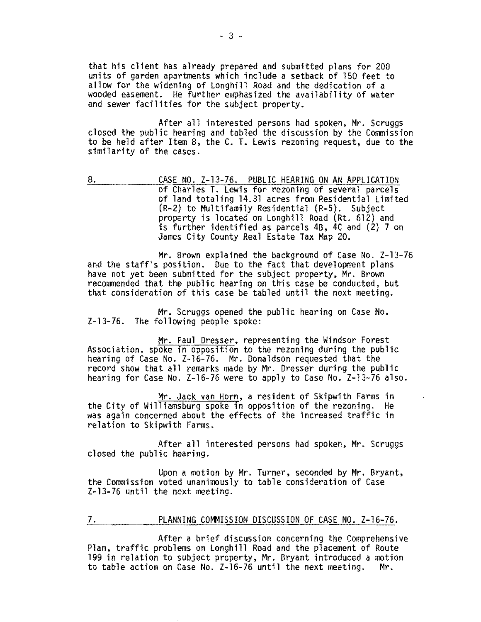that his client has already prepared and submitted plans for 200 units of garden apartments which include a setback of 150 feet to allow for the widening of Longhill Road and the dedication of a wooded easement. He further emphasized the availability of water and sewer facilities for the subject property.

After all interested persons had spoken, Mr. Scruggs closed the public hearing and tabled the discussion by the Commission to be held after Item 8, the C. T. Lewis rezoning request, due to the similarity of the cases.

8. CASE NO. Z-13-76. PUBLIC HEARING ON AN APPLICATION of Charles T. Lewis for rezoning of several parcels of land totaling 14.31 acres from Residential Limited (R-2) to Multifamily Residential (R-5). Subject property is located on Longhill Road (Rt. 612) and is further identified as parcels 48, 4C and (2) 7 on James City County Real Estate Tax Map 20.

Mr. Brown explained the background of Case No. Z-13-76 and the staff's position. Due to the fact that development plans have not yet been submitted for the subject property, Mr. Brown recommended that the public hearing on this case be conducted, but that consideration of this case be tabled until the next meeting.

Mr. Scruggs opened the public hearing on Case No. Z-13-76. The following people spoke:

Mr. Paul Dresser. representing the Windsor Forest Association. spoke in opposition to the rezoning during the public hearing of Case No. Z-16-76. Mr. Donaldson requested that the record show that all remarks made by Mr. Dresser during the public hearing for Case No. Z-16-76 were to apply to Case No. Z-13-76 also.

Mr. Jack van Horn, a resident of Skipwith Farms in the City of Williamsburg spoke in opposition of the rezoning. He was again concerned about the effects of the increased traffic in relation to Skipwith Farms.

After all interested persons had spoken, Mr. Scruggs<br>closed the public hearing.

Upon a motion by Mr. Turner, seconded by Mr. Bryant, the Commission voted unanimously to table consideration of Case Z-13-76 until the next meeting.

7. PLANNING COMMISSION DISCUSSION OF CASE NO. Z-16-76.

After a brief discussion concerning the Comprehensive Plan, traffic problems on Longhi11 Road and the placement of Route 199 in relation to subject property, Mr. Bryant introduced a motion to table action on Case No. Z-16-76 until the next meeting. Mr.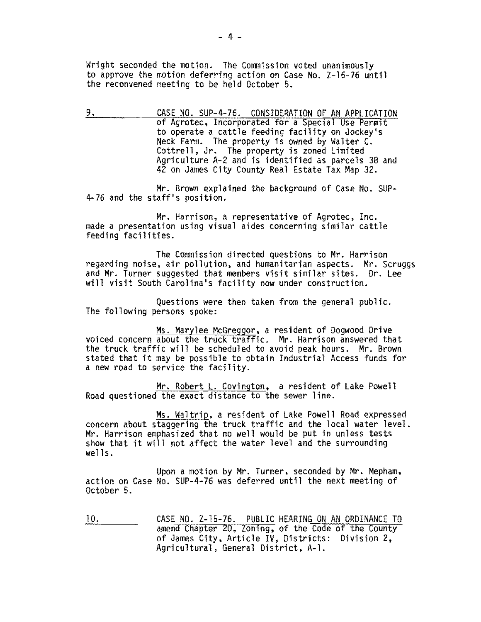Wright seconded the motion. The Commission voted unanimously to approve the motion deferring action on Case No. Z-16-76 until the reconvened meeting to be held October 5.

9. CASE NO. SUP-4-76. CONSIDERATION OF AN APPLICATION of Agrotec, Incorporated for a Special Use Permit Neck Farm. The property is owned by Walter C. Cottrell, Jr. The property is zoned Limited Agriculture A-2 and is identified as parcels 38 and 42 on James City County Real Estate Tax Map 32.

Mr. Brown explained the background of Case No. SUP-4-76 and the staff's position.

Mr. Harrison, a representative of Agrotec, Inc. made a presentation using visual aides concerning similar cattle feeding facilities.

The Commission directed questions to Mr. Harrison regarding noise, air pollution, and humanitarian aspects. Mr. Scruggs<br>and Mr. Turner suggested that members visit similar sites. Dr. Lee will visit South Carolina's facility now under construction.

Questions were then taken from the general public.<br>The following persons spoke:

Ms. Marylee McGreggor, a resident of Dogwood Drive VOiced concern about the truck traffic. Mr. Harrison answered that the truck traffic will be scheduled to avoid peak hours. Mr. Brown stated that it may be possible to obtain Industrial Access funds for a new road to service the facility.

Mr. Robert L. Covington, a resident of Lake Powell Road questioned the exact distance to the sewer line.

Ms. Waltrip, a resident of Lake Powell Road expressed concern about staggering the truck traffic and the local water level. Mr. Harrison emphasized that no well would be put in unless tests show that it will not affect the water level and the surrounding  $wells.$ 

Upon a motion by Mr. Turner, seconded by Mr. Mepham,<br>action on Case No. SUP-4-76 was deferred until the next meeting of October 5.

10. **CASE NO. 2-15-76. PUBLIC HEARING ON AN ORDINANCE TO** amend Chapter 20, Zoning, of the Code of the County of James City, Article IV, Districts; Division 2, Agricultural, General District, A-l.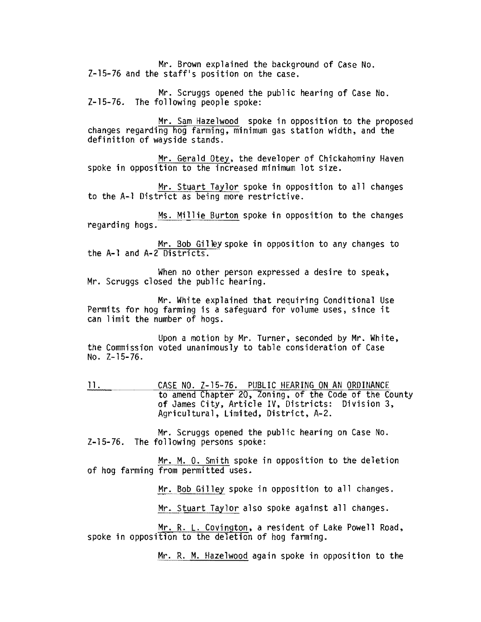Mr. Brown explained the background of Case No. Z-15-76 and the staff's position on the case.

Mr. Scruggs opened the public hearing of Case No. Z-15-76. The following people spoke:

Mr. Sam Hazelwood spoke in opposition to the proposed changes regarding hog farming, minimum gas station width, and the definition of wayside stands.

Mr. Gerald Otey, the developer of Chickahominy Haven spoke in opposition to the increased minimum lot size.

Mr. Stuart Taylor spoke in opposition to all changes to the A-l District as being more restrictive.

Ms. Millie Burton spoke in opposition to the changes regarding hogs.

Mr. Bob Gilley spoke in opposition to any changes to the A-l and A-2 Districts.

When no other person expressed a desire to speak,<br>Mr. Scruggs closed the public hearing.

Mr. White explained that requiring Conditional Use Permits for hog farming is a safeguard for volume uses, since it can limit the number of hogs.

Upon a motion by Mr. Turner, seconded by Mr. White, the Commission voted unanimously to table consideration of Case No. Z-15-76.

11. CASE NO. Z-15-76. PUBLIC HEARING ON AN ORDINANCE to amend Chapter 20, Zoning. of the Code of the County of James City, Article IV, Districts: Division 3, Agricultural, Limited, District, A-2.

Mr. Scruggs opened the public hearing on Case No. Z-15-76. The following persons spoke:

Mr. M. O. Smith spoke in opposition to the deletion of hog farming from permitted uses.

Mr. Bob Gilley spoke in opposition to all changes.

Mr. Stuart Taylor also spoke against all changes.

Mr. R. L. Covington, a resident of Lake Powell Road, spoke in opposition to the deletion of hog farming.

Mr. R. M. Hazelwood again spoke in opposition to the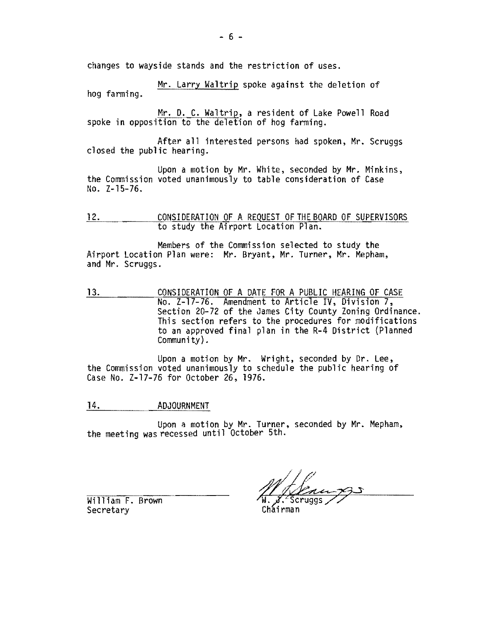changes to wayside stands and the restriction of uses.

Mr. Larry Waltrip spoke against the deletion of hog farming.

Mr. D. C. Waltrip, a resident of Lake Powell Road spoke in opposition to the deletion of hog farming.

After all interested persons had spoken, Mr. Scruggs<br>closed the public hearing.

Upon a motion by Mr. White, seconded by Mr. Minkins, the Commission voted unanimously to table consideration of Case No. Z-15-76.

12. CONSIDERATION OF A REQUEST OF THE BOARD OF SUPERVISORS to study the Airport Location Plan.

Members of the Commission selected to study the Airport Location Plan were: Mr. Bryant, Mr. Turner, Mr. Mepham, and Mr. Scruggs.

13. CONSIDERATION OF A DATE FOR A PUBLIC HEARING OF CASE No. Z-17-76. Amendment to Article IV, Division 7, Section 20-72 of the James City County Zoning Ordinance. This section refers to the procedures for modifications to an approved final plan in the R-4 District (Planned  $Community)$ .

Upon a motion by Mr. Wright, seconded by Dr. Lee, the Commission voted unanimously to schedule the public hearing of Case No. Z-17-76 for October 26, 1976.

### 14. ADJOURNMENT

Upon a motion by Mr. Turner, seconded by Mr. Mepham, the meeting was recessed until October 5th.

William F. Brown **Secretary** 

Chairman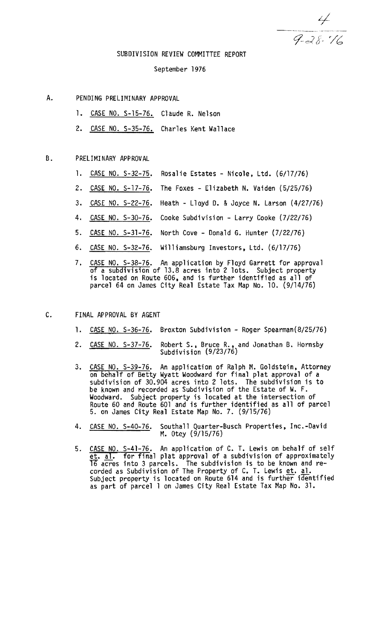$\frac{4}{9.28.76}$ 

### SUBDIVISION REVIEW COMMITTEE REPORT

#### September 1976

- A. PENDING PRELIMINARY APPROVAL
	- 1. CASE NO. S-15-76. Claude R. Nelson
	- 2. CASE NO. S-35-76. Charles Kent Wallace

## B. PRELIMI NARY APPROVAL

- l. CASE NO. S-32-75. Rosalie Estates Nicole, Ltd. (6/17/76)
- 2. CASE NO. S-17-76. The Foxes Elizabeth N. Vaiden (5/25/76)
- 3. CASE NO. S-22-76. Heath Lloyd D. & Joyce N. Larson (4/27/76)
- 4. CASE NO. S-30-76. Cooke Subdivision Larry Cooke (7/22/76)
- 5. CASE NO. 5-31-76. North Cove Donald G. Hunter (7/22/76)
- 6. CASE NO. S-32-76. Williamsburg Investors, Ltd. (6/17/76)
- 7. CASE NO. S-38-76. An application by Floyd Garrett for approval of a subdivision of 13.8 acres into 2 lots. Subject property is located on Route 606, and is further identified as all of parcel 64 on James City Real Estate Tax Map No. 10. (9/14/76)
- C. FINAL APPROVAL BY AGENT
	- 1. CASE NO. S-36-76. Broxton Subdivision Roger Spearman(8/25/76)
	- 2. CASE NO. S-37-76. Robert S., Bruce R., and Jonathan B. Hornsby<br>Subdivision (9/23/76)
	- 3. CASE NO. S-39-76. An application of Ralph M. Goldstein, Attorney on behalf of Betty Wyatt Woodward for final plat approval of a subdivision of 30.904 acres into 2 lots. The subdivision is to be known and recorded as Subdivision of the Estate of W. F. Woodward. Subject property is located at the intersection of Route 60 and Route 601 and is further identified as all of parcel 5. on James City Real Estate Map No.7. (9/15/76)
	- 4. CASE NO. S-40-76. Southall Quarter-Busch Properties, Inc.-David M. Otey (9/15/76)
	- 5. CASE NO. S-41-76. An application of C. T. Lewis on behalf of self<br>et. al. for final plat approval of a subdivision of approximately et. ai. for final plat approval of a subdivision of approximately 16 acres into 3 parcels. The subdivision is to be known and recorded as Subdivision of The Property of C. T. Lewis et. al. Subject property is located on Route 614 and is further identified as part of parcel 1 on James City Real Estate Tax Map No. 31.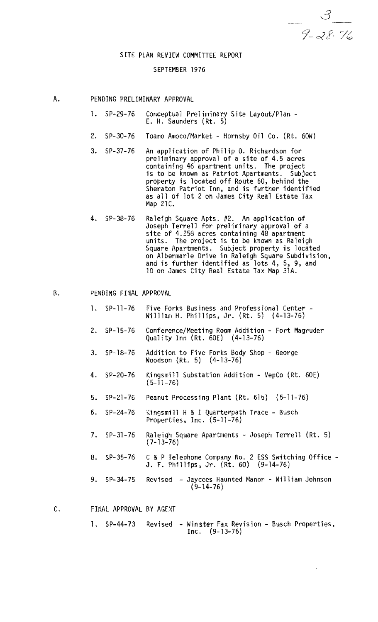$\mathcal{Z}_{\mathcal{C}}$ 

#### SITE PLAN REVIEW COMMITTEE REPORT

## SEPTEMBER 1976

- A. PENDING PRELIMINARY APPROVAL
	- 1. SP-29-76 Conceptual Preliminary Site Layout/Plan -<br>E. H. Saunders (Rt. 5)
	- 2. SP-30-76 Toano Amoco/Market Hornsby Oil Co. (Rt. 60W)
	- 3. SP-37-76 An application of Philip O. Richardson for preliminary approval of a site of 4.5 acres is to be known as Patriot Apartments. Subject property is located off Route 60, behind the Sheraton Patriot Inn, and is further identified as all of lot 2 on James City Real Estate Tax Map 21C.
	- 4. SP-38-76 Raleigh Square Apts. #2. An application of Joseph Terrell for preliminary approval of a site of 4.258 acres containing 48 apartment<br>units. The project is to be known as Raleigh<br>Square Apartments. Subject property is located on Albermarle Drive in Raleigh Square Subdivision, and is further identified as lots 4, 5, 9, and 10 on James City Real Estate Tax Map 31A.

## B. PENDING FINAL APPROVAL

- 1. SP-11-76 Five Forks Business and Professional Center -<br>William H. Phillips, Jr. (Rt. 5) (4-13-76)
- 2. SP-15-76 Conference/Meeting Room Addition Fort Magruder Quality Inn (Rt. 60E) (4-13-76)
- 3. SP-18-76 Addition to Five Forks Body Shop George Woodson (Rt. 5) (4-13-76)
- 4. SP-20-76 Kingsmill Substation Addition VepCo (Rt. 60E)  $(5 - 11 - 76)$
- 5. SP-21-76 Peanut Processing Plant (Rt. 615) (5-11-76)
- 6. SP-24-76 Kingsmill H &I Quarterpath Trace Busch Properties, Inc. (5-11-76)
- 7. SP- 31-76 Raleigh Square Apartments Joseph Terrell (Rt. 5) (7-13-76)
- 8. SP-35-76 C &P Telephone Company No.2 E5S Switching Office J. F. Phillips, Jr. (Rt. 60) (9-14-76)
- 9. SP-34-75 Revised Jaycees Haunted Manor William Johnson  $(9-14-76)$
- C. FINAL APPROVAL BY AGENT
	- 1. SP-44-73 Revised Winster Fax Revision Busch Properties,<br>Inc. (9-13-76)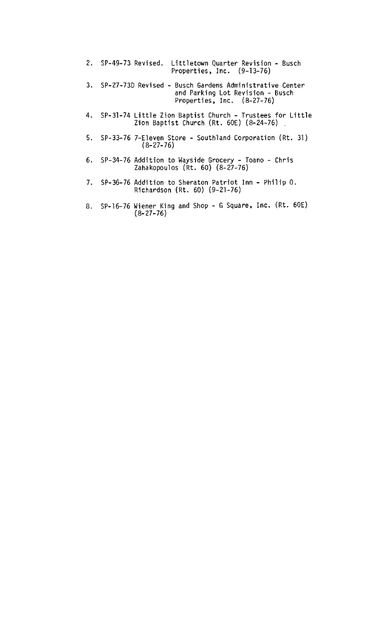| 2. SP-49-73 Revised. Littletown Quarter Revision - Busch<br>Properties, Inc. $(9-13-76)$                                       |  |
|--------------------------------------------------------------------------------------------------------------------------------|--|
| 3. SP-27-73D Revised - Busch Gardens Administrative Center<br>and Parking Lot Revision - Busch<br>Properties, Inc. $(8-27-76)$ |  |
| 4. SP-31-74 Little Zion Baptist Church - Trustees for Little<br>Zion Baptist Church $(Rt. 60E)$ $(8-24-76)$                    |  |
| 5. SP-33-76 7-Eleven Store - Southland Corporation (Rt. 31)<br>$(8-27-76)$                                                     |  |
| 6. SP-34-76 Addition to Wayside Grocery - Toano - Chris<br>Zahakopoulos (Rt. 60) (8-27-76)                                     |  |

- 7. SP-36-76 Addition to Sheraton Patriot **Inn**  Philip O. Richardson (Rt. 60) (9-21-76)
- 8. SP-16-76 Wiener King and Shop G Square, Inc. (Rt. 60E) (8-27-76)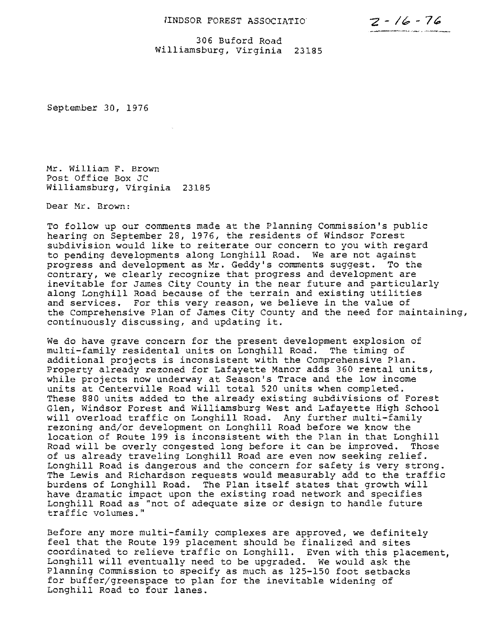# IINDSOR FOREST ASSOCIATIO  $Z - 16 - 76$

306 Buford Road Williamsburg, Virginia 23185

September *30, 1976* 

Hr. William F. Brown Post Office Box JC Williamsburg, virginia 23185

Dear Hr. Brown:

To follow up our comments made at the Planning Commission's public hearing on September 28, 1976, the residents of Windsor Forest subdivision would like to reiterate our concern to you with regard to pending developments along Longhill Road. We are not against progress and development as Mr. Geddy's comments suggest. To the contrary, we clearly recognize that progress and development are inevitable for James City county in the near future and particularly along Longhill Road because of the terrain and existing utilities and services. For this very reason, we believe in the value of the comprehensive Plan of James City County and the need for maintaining, continuously discussing, and updating it.

We do have grave concern for the present development explosion of multi-family residental units on Longhill Road. The timing of additional projects is inconsistent with the Comprehensive Plan. Property already rezoned for Lafayette Manor adds *360* rental units, while projects now underway at Season's Trace and the low income units at Centerville Road will total *520* units when completed. These 880 units added to the already existing subdivisions of Forest Glen, Windsor Forest and Williamsburg West and Lafayette High School will overload traffic on Longhill Road. Any further multi-family rezoning and/or development on Longhill Road before we know the location of Route 199 is inconsistent with the Plan in that Longhill Road will be overly congested long before it can be improved. Those of us already traveling Longhill Road are even now seeking relief. Longhill Road is dangerous and the concern for safety is very strong. The Lewis and Richardson requests would measurably add to the traffic burdens of Longhill Road. The Plan itself states that growth will have dramatic impact upon the existing road network and specifies Longhill Road as "not of adequate size or design to handle future traffic volumes."

Before any more multi-family complexes are approved, we definitely feel that the Route 199 placement should be finalized and sites coordinated to relieve traffic on Longhill. Even with this placement, Longhill will eventually need to be upgraded. We would ask the Planning Commission to specify as much as 125-150 foot setbacks for buffer/greenspace to plan for the inevitable widening of Longhill Road to four lanes.